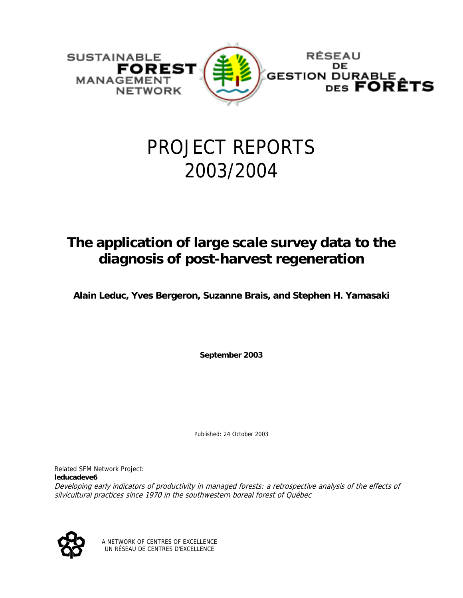

# PROJECT REPORTS 2003/2004

## **The application of large scale survey data to the diagnosis of post-harvest regeneration**

**Alain Leduc, Yves Bergeron, Suzanne Brais, and Stephen H. Yamasaki** 

**September 2003** 

Published: 24 October 2003

Related SFM Network Project: **leducadeve6** Developing early indicators of productivity in managed forests: a retrospective analysis of the effects of silvicultural practices since 1970 in the southwestern boreal forest of Québec



A NETWORK OF CENTRES OF EXCELLENCE UN RÉSEAU DE CENTRES D'EXCELLENCE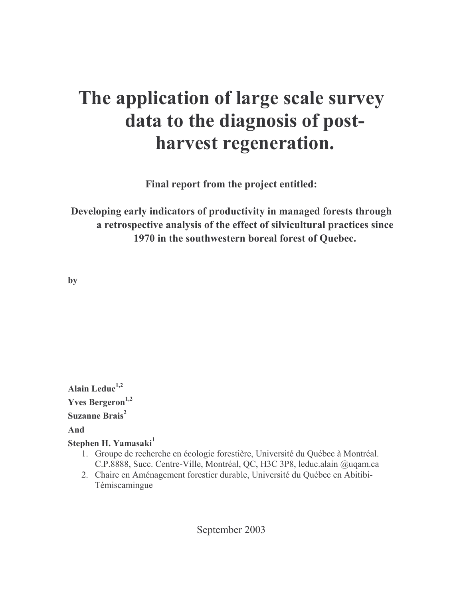# The application of large scale survey data to the diagnosis of postharvest regeneration.

Final report from the project entitled:

Developing early indicators of productivity in managed forests through a retrospective analysis of the effect of silvicultural practices since 1970 in the southwestern boreal forest of Ouebec.

by

Alain Leduc $^{1,2}$ **Yves Bergeron**<sup>1,2</sup> Suzanne Brais<sup>2</sup> And Stephen H. Yamasaki<sup>1</sup>

- 1. Groupe de recherche en écologie forestière, Université du Ouébec à Montréal. C.P.8888, Succ. Centre-Ville, Montréal, QC, H3C 3P8, leduc.alain @uqam.ca
- 2. Chaire en Aménagement forestier durable, Université du Québec en Abitibi-Témiscamingue

September 2003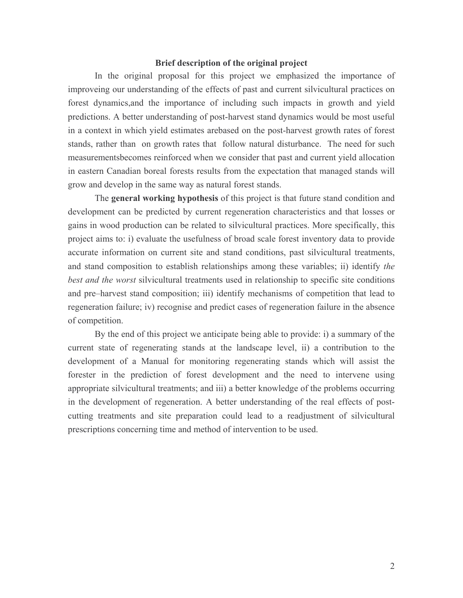### Brief description of the original project

In the original proposal for this project we emphasized the importance of improveing our understanding of the effects of past and current silvicultural practices on forest dynamics, and the importance of including such impacts in growth and yield predictions. A better understanding of post-harvest stand dynamics would be most useful in a context in which yield estimates are based on the post-harvest growth rates of forest stands, rather than on growth rates that follow natural disturbance. The need for such measurementsbecomes reinforced when we consider that past and current yield allocation in eastern Canadian boreal forests results from the expectation that managed stands will grow and develop in the same way as natural forest stands.

The general working hypothesis of this project is that future stand condition and development can be predicted by current regeneration characteristics and that losses or gains in wood production can be related to silvicultural practices. More specifically, this project aims to: i) evaluate the usefulness of broad scale forest inventory data to provide accurate information on current site and stand conditions, past silvicultural treatments, and stand composition to establish relationships among these variables; ii) identify the best and the worst silvicultural treatments used in relationship to specific site conditions and pre-harvest stand composition; iii) identify mechanisms of competition that lead to regeneration failure; iv) recognise and predict cases of regeneration failure in the absence of competition.

By the end of this project we anticipate being able to provide: i) a summary of the current state of regenerating stands at the landscape level, ii) a contribution to the development of a Manual for monitoring regenerating stands which will assist the forester in the prediction of forest development and the need to intervene using appropriate silvicultural treatments; and iii) a better knowledge of the problems occurring in the development of regeneration. A better understanding of the real effects of postcutting treatments and site preparation could lead to a readjustment of silvicultural prescriptions concerning time and method of intervention to be used.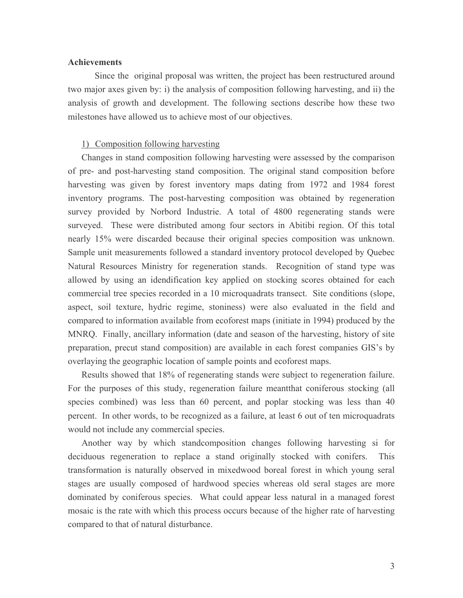### **Achievements**

Since the original proposal was written, the project has been restructured around two major axes given by: i) the analysis of composition following harvesting, and ii) the analysis of growth and development. The following sections describe how these two milestones have allowed us to achieve most of our objectives.

#### 1) Composition following harvesting

Changes in stand composition following harvesting were assessed by the comparison of pre- and post-harvesting stand composition. The original stand composition before harvesting was given by forest inventory maps dating from 1972 and 1984 forest inventory programs. The post-harvesting composition was obtained by regeneration survey provided by Norbord Industrie. A total of 4800 regenerating stands were surveyed. These were distributed among four sectors in Abitibi region. Of this total nearly 15% were discarded because their original species composition was unknown. Sample unit measurements followed a standard inventory protocol developed by Quebec Natural Resources Ministry for regeneration stands. Recognition of stand type was allowed by using an idendification key applied on stocking scores obtained for each commercial tree species recorded in a 10 microquadrats transect. Site conditions (slope, aspect, soil texture, hydric regime, stoniness) were also evaluated in the field and compared to information available from ecoforest maps (initiate in 1994) produced by the MNRQ. Finally, ancillary information (date and season of the harvesting, history of site preparation, precut stand composition) are available in each forest companies GIS's by overlaying the geographic location of sample points and ecoforest maps.

Results showed that 18% of regenerating stands were subject to regeneration failure. For the purposes of this study, regeneration failure meantthat coniferous stocking (all species combined) was less than 60 percent, and poplar stocking was less than 40 percent. In other words, to be recognized as a failure, at least 6 out of ten microquadrats would not include any commercial species.

Another way by which standcomposition changes following harvesting si for deciduous regeneration to replace a stand originally stocked with conifers. This transformation is naturally observed in mixedwood boreal forest in which young seral stages are usually composed of hardwood species whereas old seral stages are more dominated by coniferous species. What could appear less natural in a managed forest mosaic is the rate with which this process occurs because of the higher rate of harvesting compared to that of natural disturbance.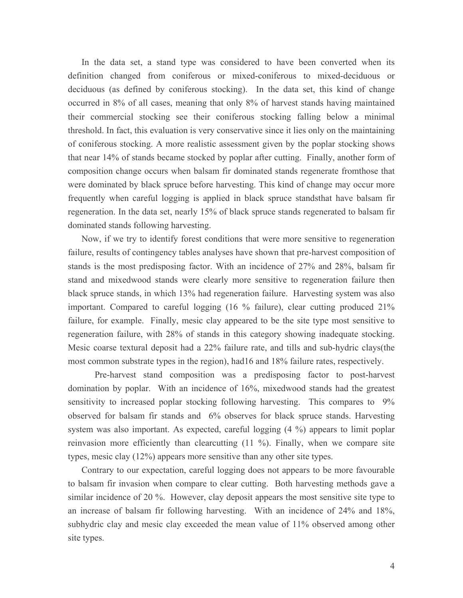In the data set, a stand type was considered to have been converted when its definition changed from coniferous or mixed-coniferous to mixed-deciduous or deciduous (as defined by coniferous stocking). In the data set, this kind of change occurred in 8% of all cases, meaning that only 8% of harvest stands having maintained their commercial stocking see their coniferous stocking falling below a minimal threshold. In fact, this evaluation is very conservative since it lies only on the maintaining of coniferous stocking. A more realistic assessment given by the poplar stocking shows that near 14% of stands became stocked by poplar after cutting. Finally, another form of composition change occurs when balsam fir dominated stands regenerate from those that were dominated by black spruce before harvesting. This kind of change may occur more frequently when careful logging is applied in black spruce stands that have balsam fir regeneration. In the data set, nearly 15% of black spruce stands regenerated to balsam fir dominated stands following harvesting.

Now, if we try to identify forest conditions that were more sensitive to regeneration failure, results of contingency tables analyses have shown that pre-harvest composition of stands is the most predisposing factor. With an incidence of 27% and 28%, balsam fir stand and mixedwood stands were clearly more sensitive to regeneration failure then black spruce stands, in which 13% had regeneration failure. Harvesting system was also important. Compared to careful logging (16 % failure), clear cutting produced 21% failure, for example. Finally, mesic clay appeared to be the site type most sensitive to regeneration failure, with 28% of stands in this category showing inadequate stocking. Mesic coarse textural deposit had a 22% failure rate, and tills and sub-hydric clays (the most common substrate types in the region), had 16 and 18% failure rates, respectively.

Pre-harvest stand composition was a predisposing factor to post-harvest domination by poplar. With an incidence of 16%, mixedwood stands had the greatest sensitivity to increased poplar stocking following harvesting. This compares to 9% observed for balsam fir stands and 6% observes for black spruce stands. Harvesting system was also important. As expected, careful logging (4 %) appears to limit poplar reinvasion more efficiently than clearcutting (11 %). Finally, when we compare site types, mesic clay  $(12\%)$  appears more sensitive than any other site types.

Contrary to our expectation, careful logging does not appears to be more favourable to balsam fir invasion when compare to clear cutting. Both harvesting methods gave a similar incidence of 20 %. However, clay deposit appears the most sensitive site type to an increase of balsam fir following harvesting. With an incidence of 24% and 18%, subhydric clay and mesic clay exceeded the mean value of 11% observed among other site types.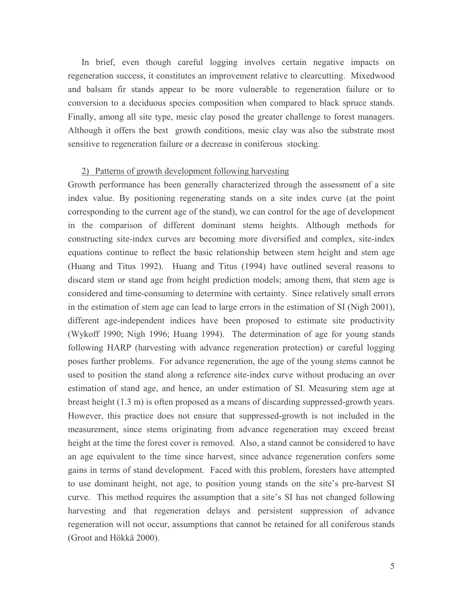In brief, even though careful logging involves certain negative impacts on regeneration success, it constitutes an improvement relative to clearcutting. Mixedwood and balsam fir stands appear to be more vulnerable to regeneration failure or to conversion to a deciduous species composition when compared to black spruce stands. Finally, among all site type, mesic clay posed the greater challenge to forest managers. Although it offers the best growth conditions, mesic clay was also the substrate most sensitive to regeneration failure or a decrease in coniferous stocking.

#### 2) Patterns of growth development following harvesting

Growth performance has been generally characterized through the assessment of a site index value. By positioning regenerating stands on a site index curve (at the point corresponding to the current age of the stand), we can control for the age of development in the comparison of different dominant stems heights. Although methods for constructing site-index curves are becoming more diversified and complex, site-index equations continue to reflect the basic relationship between stem height and stem age (Huang and Titus 1992). Huang and Titus (1994) have outlined several reasons to discard stem or stand age from height prediction models; among them, that stem age is considered and time-consuming to determine with certainty. Since relatively small errors in the estimation of stem age can lead to large errors in the estimation of SI (Nigh 2001), different age-independent indices have been proposed to estimate site productivity (Wykoff 1990; Nigh 1996; Huang 1994). The determination of age for young stands following HARP (harvesting with advance regeneration protection) or careful logging poses further problems. For advance regeneration, the age of the young stems cannot be used to position the stand along a reference site-index curve without producing an over estimation of stand age, and hence, an under estimation of SI. Measuring stem age at breast height (1.3 m) is often proposed as a means of discarding suppressed-growth years. However, this practice does not ensure that suppressed-growth is not included in the measurement, since stems originating from advance regeneration may exceed breast height at the time the forest cover is removed. Also, a stand cannot be considered to have an age equivalent to the time since harvest, since advance regeneration confers some gains in terms of stand development. Faced with this problem, foresters have attempted to use dominant height, not age, to position young stands on the site's pre-harvest SI curve. This method requires the assumption that a site's SI has not changed following harvesting and that regeneration delays and persistent suppression of advance regeneration will not occur, assumptions that cannot be retained for all coniferous stands (Groot and Hökkä 2000).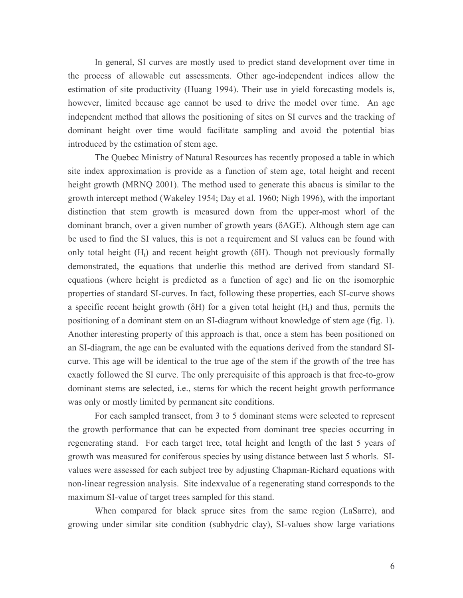In general, SI curves are mostly used to predict stand development over time in the process of allowable cut assessments. Other age-independent indices allow the estimation of site productivity (Huang 1994). Their use in yield forecasting models is, however, limited because age cannot be used to drive the model over time. An age independent method that allows the positioning of sites on SI curves and the tracking of dominant height over time would facilitate sampling and avoid the potential bias introduced by the estimation of stem age.

The Quebec Ministry of Natural Resources has recently proposed a table in which site index approximation is provide as a function of stem age, total height and recent height growth (MRNQ 2001). The method used to generate this abacus is similar to the growth intercept method (Wakeley 1954; Day et al. 1960; Nigh 1996), with the important distinction that stem growth is measured down from the upper-most whorl of the dominant branch, over a given number of growth years (δAGE). Although stem age can be used to find the SI values, this is not a requirement and SI values can be found with only total height  $(H<sub>1</sub>)$  and recent height growth ( $\delta H$ ). Though not previously formally demonstrated, the equations that underlie this method are derived from standard SIequations (where height is predicted as a function of age) and lie on the isomorphic properties of standard SI-curves. In fact, following these properties, each SI-curve shows a specific recent height growth ( $\delta$ H) for a given total height ( $H_t$ ) and thus, permits the positioning of a dominant stem on an SI-diagram without knowledge of stem age (fig. 1). Another interesting property of this approach is that, once a stem has been positioned on an SI-diagram, the age can be evaluated with the equations derived from the standard SIcurve. This age will be identical to the true age of the stem if the growth of the tree has exactly followed the SI curve. The only prerequisite of this approach is that free-to-grow dominant stems are selected, i.e., stems for which the recent height growth performance was only or mostly limited by permanent site conditions.

For each sampled transect, from 3 to 5 dominant stems were selected to represent the growth performance that can be expected from dominant tree species occurring in regenerating stand. For each target tree, total height and length of the last 5 years of growth was measured for coniferous species by using distance between last 5 whorls. SIvalues were assessed for each subject tree by adjusting Chapman-Richard equations with non-linear regression analysis. Site indexvalue of a regenerating stand corresponds to the maximum SI-value of target trees sampled for this stand.

When compared for black spruce sites from the same region (LaSarre), and growing under similar site condition (subhydric clay), SI-values show large variations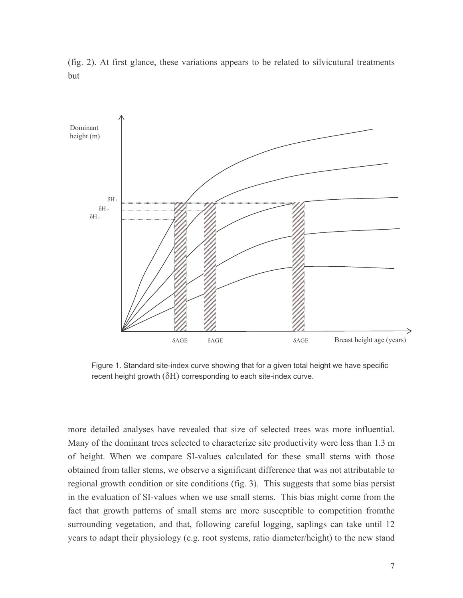

(fig. 2). At first glance, these variations appears to be related to silvicutural treatments but

Figure 1. Standard site-index curve showing that for a given total height we have specific recent height growth  $(\delta H)$  corresponding to each site-index curve.

more detailed analyses have revealed that size of selected trees was more influential. Many of the dominant trees selected to characterize site productivity were less than 1.3 m of height. When we compare SI-values calculated for these small stems with those obtained from taller stems, we observe a significant difference that was not attributable to regional growth condition or site conditions (fig. 3). This suggests that some bias persist in the evaluation of SI-values when we use small stems. This bias might come from the fact that growth patterns of small stems are more susceptible to competition from the surrounding vegetation, and that, following careful logging, saplings can take until 12 years to adapt their physiology (e.g. root systems, ratio diameter/height) to the new stand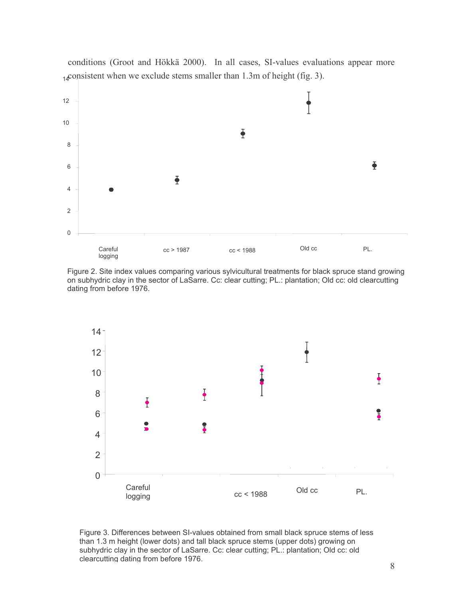

conditions (Groot and Hökkä 2000). In all cases, SI-values evaluations appear more  $_{14}$ consistent when we exclude stems smaller than 1.3m of height (fig. 3).

Figure 2. Site index values comparing various sylvicultural treatments for black spruce stand growing on subhydric clay in the sector of LaSarre. Cc: clear cutting; PL.: plantation; Old cc: old clearcutting dating from before 1976.



Figure 3. Differences between SI-values obtained from small black spruce stems of less than 1.3 m height (lower dots) and tall black spruce stems (upper dots) growing on subhydric clay in the sector of LaSarre. Cc: clear cutting; PL.: plantation; Old cc: old clearcutting dating from before 1976.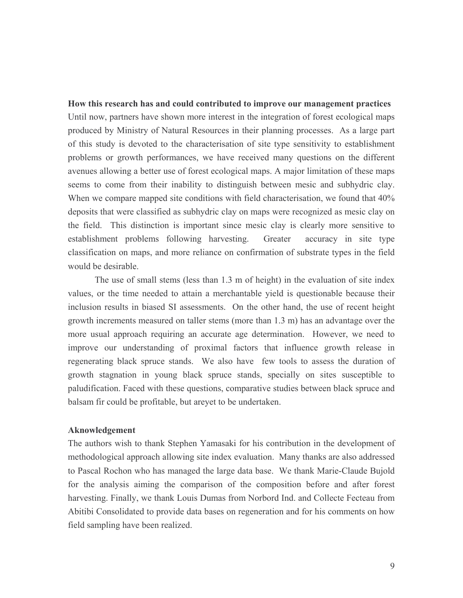How this research has and could contributed to improve our management practices Until now, partners have shown more interest in the integration of forest ecological maps produced by Ministry of Natural Resources in their planning processes. As a large part of this study is devoted to the characterisation of site type sensitivity to establishment problems or growth performances, we have received many questions on the different avenues allowing a better use of forest ecological maps. A major limitation of these maps seems to come from their inability to distinguish between mesic and subhydric clay. When we compare mapped site conditions with field characterisation, we found that 40% deposits that were classified as subhydric clay on maps were recognized as mesic clay on the field. This distinction is important since mesic clay is clearly more sensitive to establishment problems following harvesting. Greater accuracy in site type classification on maps, and more reliance on confirmation of substrate types in the field would be desirable.

The use of small stems (less than 1.3 m of height) in the evaluation of site index values, or the time needed to attain a merchantable yield is questionable because their inclusion results in biased SI assessments. On the other hand, the use of recent height growth increments measured on taller stems (more than 1.3 m) has an advantage over the more usual approach requiring an accurate age determination. However, we need to improve our understanding of proximal factors that influence growth release in regenerating black spruce stands. We also have few tools to assess the duration of growth stagnation in young black spruce stands, specially on sites susceptible to paludification. Faced with these questions, comparative studies between black spruce and balsam fir could be profitable, but areyet to be undertaken.

#### **Aknowledgement**

The authors wish to thank Stephen Yamasaki for his contribution in the development of methodological approach allowing site index evaluation. Many thanks are also addressed to Pascal Rochon who has managed the large data base. We thank Marie-Claude Bujold for the analysis aiming the comparison of the composition before and after forest harvesting. Finally, we thank Louis Dumas from Norbord Ind. and Collecte Fecteau from Abitibi Consolidated to provide data bases on regeneration and for his comments on how field sampling have been realized.